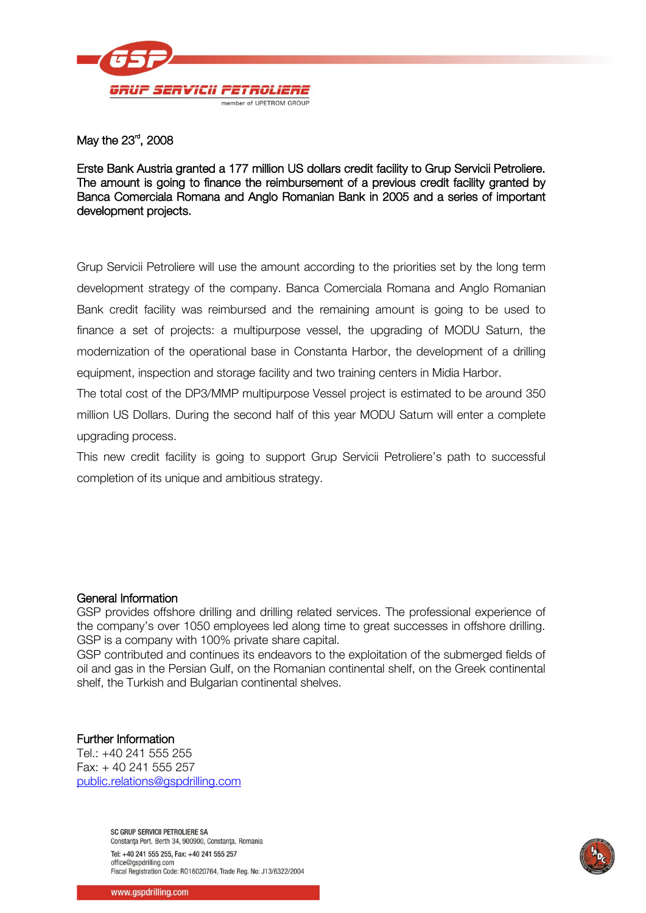

May the 23 $^{\text{\tiny{rd}}}$ , 2008

Erste Bank Austria granted a 177 million US dollars credit facility to Grup Servicii Petroliere. The amount is going to finance the reimbursement of a previous credit facility granted by Banca Comerciala Romana and Anglo Romanian Bank in 2005 and a series of important development projects.

Grup Servicii Petroliere will use the amount according to the priorities set by the long term development strategy of the company. Banca Comerciala Romana and Anglo Romanian Bank credit facility was reimbursed and the remaining amount is going to be used to finance a set of projects: a multipurpose vessel, the upgrading of MODU Saturn, the modernization of the operational base in Constanta Harbor, the development of a drilling equipment, inspection and storage facility and two training centers in Midia Harbor.

The total cost of the DP3/MMP multipurpose Vessel project is estimated to be around 350 million US Dollars. During the second half of this year MODU Saturn will enter a complete upgrading process.

This new credit facility is going to support Grup Servicii Petroliere's path to successful completion of its unique and ambitious strategy.

## General Information

GSP provides offshore drilling and drilling related services. The professional experience of the company's over 1050 employees led along time to great successes in offshore drilling. GSP is a company with 100% private share capital.

GSP contributed and continues its endeavors to the exploitation of the submerged fields of oil and gas in the Persian Gulf, on the Romanian continental shelf, on the Greek continental shelf, the Turkish and Bulgarian continental shelves.

## Further Information

Tel.: +40 241 555 255 Fax: + 40 241 555 257 [public.relations@gspdrilling.com](mailto:public.relations@gspdrilling.com)

> SC GRUP SERVICII PETROLIERE SA Constanța Port, Berth 34, 900900, Constanța, Romania Tel: +40 241 555 255, Fax: +40 241 555 257 office@aspdrilling.com Fiscal Registration Code: R016020764, Trade Reg. No: J13/6322/2004